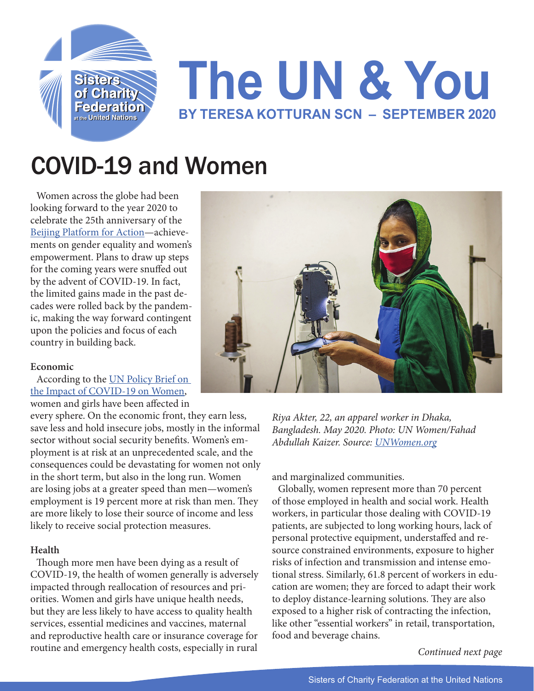

# COVID-19 and Women

Women across the globe had been looking forward to the year 2020 to celebrate the 25th anniversary of the [Beijing Platform for Action—](https://beijing20.unwomen.org/en/about)achievements on gender equality and women's empowerment. Plans to draw up steps for the coming years were snuffed out by the advent of COVID-19. In fact, the limited gains made in the past decades were rolled back by the pandemic, making the way forward contingent upon the policies and focus of each country in building back.

# **Economic**

According to the [UN Policy Brief on](https://www.un.org/sexualviolenceinconflict/wp-content/uploads/2020/06/report/policy-brief-the-impact-of-covid-19-on-women/policy-brief-the-impact-of-covid-19-on-women-en-1.pdf)  [the Impact of COVID-19 on Women,](https://www.un.org/sexualviolenceinconflict/wp-content/uploads/2020/06/report/policy-brief-the-impact-of-covid-19-on-women/policy-brief-the-impact-of-covid-19-on-women-en-1.pdf) women and girls have been affected in

every sphere. On the economic front, they earn less, save less and hold insecure jobs, mostly in the informal sector without social security benefits. Women's employment is at risk at an unprecedented scale, and the consequences could be devastating for women not only in the short term, but also in the long run. Women are losing jobs at a greater speed than men—women's employment is 19 percent more at risk than men. They are more likely to lose their source of income and less likely to receive social protection measures.

# **Health**

Though more men have been dying as a result of COVID-19, the health of women generally is adversely impacted through reallocation of resources and priorities. Women and girls have unique health needs, but they are less likely to have access to quality health services, essential medicines and vaccines, maternal and reproductive health care or insurance coverage for routine and emergency health costs, especially in rural



*Riya Akter, 22, an apparel worker in Dhaka, Bangladesh. May 2020. Photo: UN Women/Fahad Abdullah Kaizer. Source: [UNWomen.org](https://www.unwomen.org/en/news/stories/2020/9/feature-covid-19-economic-impacts-on-women)*

and marginalized communities.

Globally, women represent more than 70 percent of those employed in health and social work. Health workers, in particular those dealing with COVID-19 patients, are subjected to long working hours, lack of personal protective equipment, understaffed and resource constrained environments, exposure to higher risks of infection and transmission and intense emotional stress. Similarly, 61.8 percent of workers in education are women; they are forced to adapt their work to deploy distance-learning solutions. They are also exposed to a higher risk of contracting the infection, like other "essential workers" in retail, transportation, food and beverage chains.

*Continued next page*